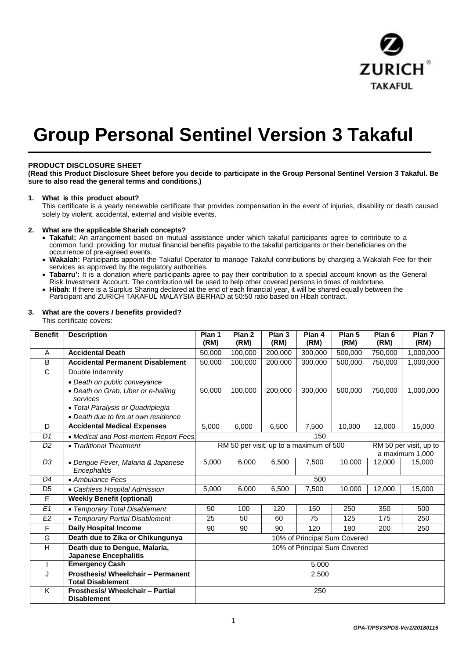

# **Group Personal Sentinel Version 3 Takaful**

# **PRODUCT DISCLOSURE SHEET**

**(Read this Product Disclosure Sheet before you decide to participate in the Group Personal Sentinel Version 3 Takaful. Be sure to also read the general terms and conditions.)**

## **1. What is this product about?**

This certificate is a yearly renewable certificate that provides compensation in the event of injuries, disability or death caused solely by violent, accidental, external and visible events.

#### **2. What are the applicable Shariah concepts?**

- **Takaful:** An arrangement based on mutual assistance under which takaful participants agree to contribute to a common fund providing for mutual financial benefits payable to the takaful participants or their beneficiaries on the occurrence of pre-agreed events.
- **Wakalah:** Participants appoint the Takaful Operator to manage Takaful contributions by charging a Wakalah Fee for their services as approved by the regulatory authorities.
- **Tabarru':** It is a donation where participants agree to pay their contribution to a special account known as the General Risk Investment Account. The contribution will be used to help other covered persons in times of misfortune.
- **Hibah**: If there is a Surplus Sharing declared at the end of each financial year, it will be shared equally between the Participant and ZURICH TAKAFUL MALAYSIA BERHAD at 50:50 ratio based on Hibah contract.

# **3. What are the covers** *I* **benefits provided?**

This certificate covers:

| <b>Benefit</b>        | <b>Description</b>                      | Plan 1<br>(RM)                                                    | Plan <sub>2</sub><br>(RM) | Plan <sub>3</sub><br>(RM) | Plan 4<br>(RM) | Plan 5<br>(RM) | Plan <sub>6</sub><br>(RM) | Plan 7<br>(RM) |
|-----------------------|-----------------------------------------|-------------------------------------------------------------------|---------------------------|---------------------------|----------------|----------------|---------------------------|----------------|
|                       |                                         |                                                                   |                           |                           |                |                |                           |                |
| A                     | <b>Accidental Death</b>                 | 50,000                                                            | 100,000                   | 200,000                   | 300,000        | 500,000        | 750,000                   | 1,000,000      |
| B                     | <b>Accidental Permanent Disablement</b> | 50,000                                                            | 100,000                   | 200,000                   | 300,000        | 500,000        | 750,000                   | 1,000,000      |
| $\overline{\text{c}}$ | Double Indemnity                        |                                                                   |                           |                           |                |                |                           |                |
|                       | • Death on public conveyance            |                                                                   |                           |                           |                |                |                           |                |
|                       | • Death on Grab, Uber or e-hailing      | 50,000                                                            | 100,000                   | 200,000                   | 300,000        | 500,000        | 750,000                   | 1,000,000      |
|                       | services                                |                                                                   |                           |                           |                |                |                           |                |
|                       | • Total Paralysis or Quadriplegia       |                                                                   |                           |                           |                |                |                           |                |
|                       | • Death due to fire at own residence    |                                                                   |                           |                           |                |                |                           |                |
| D                     | <b>Accidental Medical Expenses</b>      | 5,000                                                             | 6,000                     | 6,500                     | 7,500          | 10,000         | 12,000                    | 15,000         |
| D1                    | • Medical and Post-mortem Report Fees   | 150                                                               |                           |                           |                |                |                           |                |
| D <sub>2</sub>        | • Traditional Treatment                 | RM 50 per visit, up to a maximum of 500<br>RM 50 per visit, up to |                           |                           |                |                |                           |                |
|                       |                                         | a maximum 1,000                                                   |                           |                           |                |                |                           |                |
| D <sub>3</sub>        | • Dengue Fever, Malaria & Japanese      | 5,000                                                             | 6,000                     | 6,500                     | 7,500          | 10,000         | 12,000                    | 15,000         |
|                       | Encephalitis                            |                                                                   |                           |                           |                |                |                           |                |
| D4                    | • Ambulance Fees                        | 500                                                               |                           |                           |                |                |                           |                |
| D <sub>5</sub>        | • Cashless Hospital Admission           | 5,000                                                             | 6,000                     | 6,500                     | 7,500          | 10,000         | 12,000                    | 15,000         |
| E                     | <b>Weekly Benefit (optional)</b>        |                                                                   |                           |                           |                |                |                           |                |
| E1                    | • Temporary Total Disablement           | 50                                                                | 100                       | 120                       | 150            | 250            | 350                       | 500            |
| E2                    | • Temporary Partial Disablement         | 25                                                                | 50                        | 60                        | 75             | 125            | 175                       | 250            |
| F                     | <b>Daily Hospital Income</b>            | 90                                                                | 90                        | 90                        | 120            | 180            | 200                       | 250            |
| G                     | Death due to Zika or Chikungunya        | 10% of Principal Sum Covered                                      |                           |                           |                |                |                           |                |
| Η                     | Death due to Dengue, Malaria,           | 10% of Principal Sum Covered                                      |                           |                           |                |                |                           |                |
|                       | <b>Japanese Encephalitis</b>            |                                                                   |                           |                           |                |                |                           |                |
|                       | <b>Emergency Cash</b>                   | 5,000                                                             |                           |                           |                |                |                           |                |
| J                     | Prosthesis/ Wheelchair - Permanent      | 2,500                                                             |                           |                           |                |                |                           |                |
|                       | <b>Total Disablement</b>                |                                                                   |                           |                           |                |                |                           |                |
| Κ                     | <b>Prosthesis/ Wheelchair - Partial</b> | 250                                                               |                           |                           |                |                |                           |                |
|                       | <b>Disablement</b>                      |                                                                   |                           |                           |                |                |                           |                |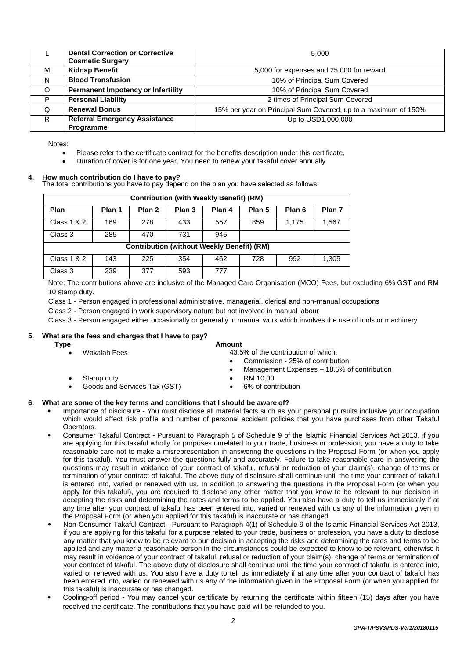|         | <b>Dental Correction or Corrective</b><br><b>Cosmetic Surgery</b> | 5.000                                                          |
|---------|-------------------------------------------------------------------|----------------------------------------------------------------|
| м       | <b>Kidnap Benefit</b>                                             | 5,000 for expenses and 25,000 for reward                       |
| N       | <b>Blood Transfusion</b>                                          | 10% of Principal Sum Covered                                   |
| $\circ$ | <b>Permanent Impotency or Infertility</b>                         | 10% of Principal Sum Covered                                   |
| P       | <b>Personal Liability</b>                                         | 2 times of Principal Sum Covered                               |
| Q       | <b>Renewal Bonus</b>                                              | 15% per year on Principal Sum Covered, up to a maximum of 150% |
| R.      | <b>Referral Emergency Assistance</b><br><b>Programme</b>          | Up to USD1,000,000                                             |

Notes:

- Please refer to the certificate contract for the benefits description under this certificate.
- Duration of cover is for one year. You need to renew your takaful cover annually

#### **4. How much contribution do I have to pay?**

The total contributions you have to pay depend on the plan you have selected as follows:

| <b>Contribution (with Weekly Benefit) (RM)</b>    |        |        |                   |        |        |        |        |  |  |
|---------------------------------------------------|--------|--------|-------------------|--------|--------|--------|--------|--|--|
| Plan                                              | Plan 1 | Plan 2 | Plan <sub>3</sub> | Plan 4 | Plan 5 | Plan 6 | Plan 7 |  |  |
| <b>Class 1 &amp; 2</b>                            | 169    | 278    | 433               | 557    | 859    | 1.175  | 1,567  |  |  |
| Class 3                                           | 285    | 470    | 731               | 945    |        |        |        |  |  |
| <b>Contribution (without Weekly Benefit) (RM)</b> |        |        |                   |        |        |        |        |  |  |
| <b>Class 1 &amp; 2</b>                            | 143    | 225    | 354               | 462    | 728    | 992    | 1,305  |  |  |
| Class 3                                           | 239    | 377    | 593               | 777    |        |        |        |  |  |

Note: The contributions above are inclusive of the Managed Care Organisation (MCO) Fees, but excluding 6% GST and RM 10 stamp duty.

Class 1 - Person engaged in professional administrative, managerial, clerical and non-manual occupations

Class 2 - Person engaged in work supervisory nature but not involved in manual labour

Class 3 - Person engaged either occasionally or generally in manual work which involves the use of tools or machinery

## **5. What are the fees and charges that I have to pay?**

| Management Expenses - 18.5% of contribution |
|---------------------------------------------|
|                                             |
|                                             |
|                                             |
|                                             |

## **6. What are some of the key terms and conditions that I should be aware of?**

- Importance of disclosure You must disclose all material facts such as your personal pursuits inclusive your occupation which would affect risk profile and number of personal accident policies that you have purchases from other Takaful Operators.
- Consumer Takaful Contract Pursuant to Paragraph 5 of Schedule 9 of the Islamic Financial Services Act 2013, if you are applying for this takaful wholly for purposes unrelated to your trade, business or profession, you have a duty to take reasonable care not to make a misrepresentation in answering the questions in the Proposal Form (or when you apply for this takaful). You must answer the questions fully and accurately. Failure to take reasonable care in answering the questions may result in voidance of your contract of takaful, refusal or reduction of your claim(s), change of terms or termination of your contract of takaful. The above duty of disclosure shall continue until the time your contract of takaful is entered into, varied or renewed with us. In addition to answering the questions in the Proposal Form (or when you apply for this takaful), you are required to disclose any other matter that you know to be relevant to our decision in accepting the risks and determining the rates and terms to be applied. You also have a duty to tell us immediately if at any time after your contract of takaful has been entered into, varied or renewed with us any of the information given in the Proposal Form (or when you applied for this takaful) is inaccurate or has changed.
- Non-Consumer Takaful Contract Pursuant to Paragraph 4(1) of Schedule 9 of the Islamic Financial Services Act 2013, if you are applying for this takaful for a purpose related to your trade, business or profession, you have a duty to disclose any matter that you know to be relevant to our decision in accepting the risks and determining the rates and terms to be applied and any matter a reasonable person in the circumstances could be expected to know to be relevant, otherwise it may result in voidance of your contract of takaful, refusal or reduction of your claim(s), change of terms or termination of your contract of takaful. The above duty of disclosure shall continue until the time your contract of takaful is entered into, varied or renewed with us. You also have a duty to tell us immediately if at any time after your contract of takaful has been entered into, varied or renewed with us any of the information given in the Proposal Form (or when you applied for this takaful) is inaccurate or has changed.
- Cooling-off period You may cancel your certificate by returning the certificate within fifteen (15) days after you have received the certificate. The contributions that you have paid will be refunded to you.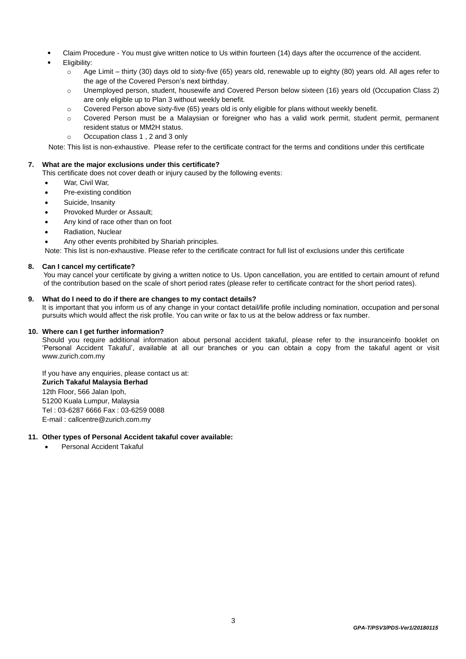- Claim Procedure You must give written notice to Us within fourteen (14) days after the occurrence of the accident.
- Eligibility:
	- $\circ$  Age Limit thirty (30) days old to sixty-five (65) years old, renewable up to eighty (80) years old. All ages refer to the age of the Covered Person's next birthday.
	- o Unemployed person, student, housewife and Covered Person below sixteen (16) years old (Occupation Class 2) are only eligible up to Plan 3 without weekly benefit.
	- $\circ$  Covered Person above sixty-five (65) years old is only eligible for plans without weekly benefit.
	- o Covered Person must be a Malaysian or foreigner who has a valid work permit, student permit, permanent resident status or MM2H status.
	- o Occupation class 1 , 2 and 3 only

Note: This list is non-exhaustive. Please refer to the certificate contract for the terms and conditions under this certificate

## **7. What are the major exclusions under this certificate?**

- This certificate does not cover death or injury caused by the following events:
	- War, Civil War,
	- Pre-existing condition
	- Suicide, Insanity
- Provoked Murder or Assault;
- Any kind of race other than on foot
- Radiation, Nuclear
- Any other events prohibited by Shariah principles.

Note: This list is non-exhaustive. Please refer to the certificate contract for full list of exclusions under this certificate

# **8. Can I cancel my certificate?**

You may cancel your certificate by giving a written notice to Us. Upon cancellation, you are entitled to certain amount of refund of the contribution based on the scale of short period rates (please refer to certificate contract for the short period rates).

#### **9. What do I need to do if there are changes to my contact details?**

It is important that you inform us of any change in your contact detail/life profile including nomination, occupation and personal pursuits which would affect the risk profile. You can write or fax to us at the below address or fax number.

#### **10. Where can I get further information?**

Should you require additional information about personal accident takaful, please refer to the insuranceinfo booklet on 'Personal Accident Takaful', available at all our branches or you can obtain a copy fr[om the takaful](http://www/) agent or visit [www.zurich.com.my](http://www/) 

If you have any enquiries, please contact us at: **Zurich Takaful Malaysia Berhad**  12th Floor, 566 Jalan Ipoh, 51200 Kuala Lumpur, Malaysia Tel : 03-6287 6666 Fax : 03-6259 0088 E-mail : callcentre@zurich.com.my

# **11. Other types of Personal Accident takaful cover available:**

Personal Accident Takaful